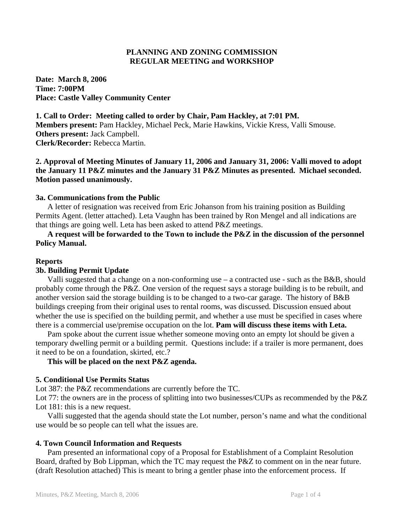# **PLANNING AND ZONING COMMISSION REGULAR MEETING and WORKSHOP**

**Date: March 8, 2006 Time: 7:00PM Place: Castle Valley Community Center** 

**1. Call to Order: Meeting called to order by Chair, Pam Hackley, at 7:01 PM. Members present:** Pam Hackley, Michael Peck, Marie Hawkins, Vickie Kress, Valli Smouse. **Others present:** Jack Campbell. **Clerk/Recorder:** Rebecca Martin.

# **2. Approval of Meeting Minutes of January 11, 2006 and January 31, 2006: Valli moved to adopt the January 11 P&Z minutes and the January 31 P&Z Minutes as presented. Michael seconded. Motion passed unanimously.**

## **3a. Communications from the Public**

 A letter of resignation was received from Eric Johanson from his training position as Building Permits Agent. (letter attached). Leta Vaughn has been trained by Ron Mengel and all indications are that things are going well. Leta has been asked to attend P&Z meetings.

# **A request will be forwarded to the Town to include the P&Z in the discussion of the personnel Policy Manual.**

## **Reports**

#### **3b. Building Permit Update**

 Valli suggested that a change on a non-conforming use – a contracted use - such as the B&B, should probably come through the P&Z. One version of the request says a storage building is to be rebuilt, and another version said the storage building is to be changed to a two-car garage. The history of B&B buildings creeping from their original uses to rental rooms, was discussed. Discussion ensued about whether the use is specified on the building permit, and whether a use must be specified in cases where there is a commercial use/premise occupation on the lot. **Pam will discuss these items with Leta.** 

 Pam spoke about the current issue whether someone moving onto an empty lot should be given a temporary dwelling permit or a building permit. Questions include: if a trailer is more permanent, does it need to be on a foundation, skirted, etc.?

## **This will be placed on the next P&Z agenda.**

#### **5. Conditional Use Permits Status**

Lot 387: the P&Z recommendations are currently before the TC.

Lot 77: the owners are in the process of splitting into two businesses/CUPs as recommended by the P&Z Lot 181: this is a new request.

 Valli suggested that the agenda should state the Lot number, person's name and what the conditional use would be so people can tell what the issues are.

#### **4. Town Council Information and Requests**

 Pam presented an informational copy of a Proposal for Establishment of a Complaint Resolution Board, drafted by Bob Lippman, which the TC may request the P&Z to comment on in the near future. (draft Resolution attached) This is meant to bring a gentler phase into the enforcement process. If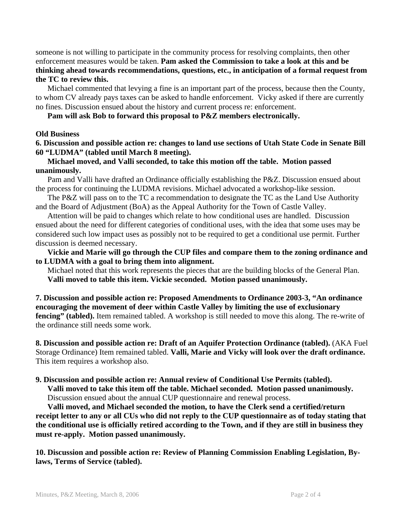someone is not willing to participate in the community process for resolving complaints, then other enforcement measures would be taken. **Pam asked the Commission to take a look at this and be thinking ahead towards recommendations, questions, etc., in anticipation of a formal request from the TC to review this.**

 Michael commented that levying a fine is an important part of the process, because then the County, to whom CV already pays taxes can be asked to handle enforcement. Vicky asked if there are currently no fines. Discussion ensued about the history and current process re: enforcement.

 **Pam will ask Bob to forward this proposal to P&Z members electronically.** 

#### **Old Business**

**6. Discussion and possible action re: changes to land use sections of Utah State Code in Senate Bill 60 "LUDMA" (tabled until March 8 meeting).** 

## **Michael moved, and Valli seconded, to take this motion off the table. Motion passed unanimously.**

 Pam and Valli have drafted an Ordinance officially establishing the P&Z. Discussion ensued about the process for continuing the LUDMA revisions. Michael advocated a workshop-like session.

The P&Z will pass on to the TC a recommendation to designate the TC as the Land Use Authority and the Board of Adjustment (BoA) as the Appeal Authority for the Town of Castle Valley.

 Attention will be paid to changes which relate to how conditional uses are handled. Discussion ensued about the need for different categories of conditional uses, with the idea that some uses may be considered such low impact uses as possibly not to be required to get a conditional use permit. Further discussion is deemed necessary.

**Vickie and Marie will go through the CUP files and compare them to the zoning ordinance and to LUDMA with a goal to bring them into alignment.** 

 Michael noted that this work represents the pieces that are the building blocks of the General Plan.  **Valli moved to table this item. Vickie seconded. Motion passed unanimously.** 

**7. Discussion and possible action re: Proposed Amendments to Ordinance 2003-3, "An ordinance encouraging the movement of deer within Castle Valley by limiting the use of exclusionary fencing" (tabled).** Item remained tabled. A workshop is still needed to move this along. The re-write of the ordinance still needs some work.

**8. Discussion and possible action re: Draft of an Aquifer Protection Ordinance (tabled).** (AKA Fuel Storage Ordinance) Item remained tabled. **Valli, Marie and Vicky will look over the draft ordinance.** This item requires a workshop also.

# **9. Discussion and possible action re: Annual review of Conditional Use Permits (tabled).**

 **Valli moved to take this item off the table. Michael seconded. Motion passed unanimously.** Discussion ensued about the annual CUP questionnaire and renewal process.

**Valli moved, and Michael seconded the motion, to have the Clerk send a certified/return receipt letter to any or all CUs who did not reply to the CUP questionnaire as of today stating that the conditional use is officially retired according to the Town, and if they are still in business they must re-apply. Motion passed unanimously.** 

**10. Discussion and possible action re: Review of Planning Commission Enabling Legislation, Bylaws, Terms of Service (tabled).**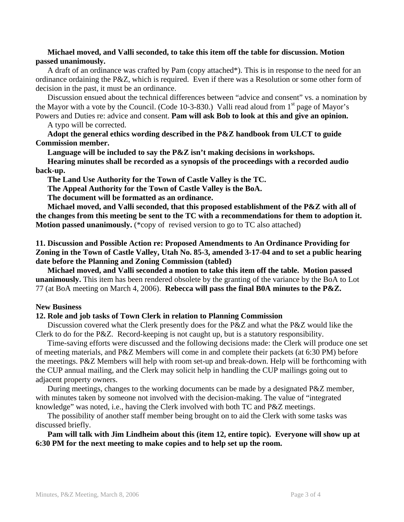## **Michael moved, and Valli seconded, to take this item off the table for discussion. Motion passed unanimously.**

 A draft of an ordinance was crafted by Pam (copy attached\*). This is in response to the need for an ordinance ordaining the P&Z, which is required. Even if there was a Resolution or some other form of decision in the past, it must be an ordinance.

 Discussion ensued about the technical differences between "advice and consent" vs. a nomination by the Mayor with a vote by the Council. (Code 10-3-830.) Valli read aloud from  $1<sup>st</sup>$  page of Mayor's Powers and Duties re: advice and consent. **Pam will ask Bob to look at this and give an opinion.** 

A typo will be corrected.

**Adopt the general ethics wording described in the P&Z handbook from ULCT to guide Commission member.** 

 **Language will be included to say the P&Z isn't making decisions in workshops.** 

 **Hearing minutes shall be recorded as a synopsis of the proceedings with a recorded audio back-up.**

 **The Land Use Authority for the Town of Castle Valley is the TC.** 

 **The Appeal Authority for the Town of Castle Valley is the BoA.** 

 **The document will be formatted as an ordinance.** 

 **Michael moved, and Valli seconded, that this proposed establishment of the P&Z with all of the changes from this meeting be sent to the TC with a recommendations for them to adoption it. Motion passed unanimously.** (\*copy of revised version to go to TC also attached)

**11. Discussion and Possible Action re: Proposed Amendments to An Ordinance Providing for Zoning in the Town of Castle Valley, Utah No. 85-3, amended 3-17-04 and to set a public hearing date before the Planning and Zoning Commission (tabled)** 

 **Michael moved, and Valli seconded a motion to take this item off the table. Motion passed unanimously.** This item has been rendered obsolete by the granting of the variance by the BoA to Lot 77 (at BoA meeting on March 4, 2006). **Rebecca will pass the final B0A minutes to the P&Z.** 

## **New Business**

## **12. Role and job tasks of Town Clerk in relation to Planning Commission**

 Discussion covered what the Clerk presently does for the P&Z and what the P&Z would like the Clerk to do for the P&Z. Record-keeping is not caught up, but is a statutory responsibility.

 Time-saving efforts were discussed and the following decisions made: the Clerk will produce one set of meeting materials, and P&Z Members will come in and complete their packets (at 6:30 PM) before the meetings. P&Z Members will help with room set-up and break-down. Help will be forthcoming with the CUP annual mailing, and the Clerk may solicit help in handling the CUP mailings going out to adjacent property owners.

 During meetings, changes to the working documents can be made by a designated P&Z member, with minutes taken by someone not involved with the decision-making. The value of "integrated knowledge" was noted, i.e., having the Clerk involved with both TC and P&Z meetings.

 The possibility of another staff member being brought on to aid the Clerk with some tasks was discussed briefly.

## **Pam will talk with Jim Lindheim about this (item 12, entire topic). Everyone will show up at 6:30 PM for the next meeting to make copies and to help set up the room.**